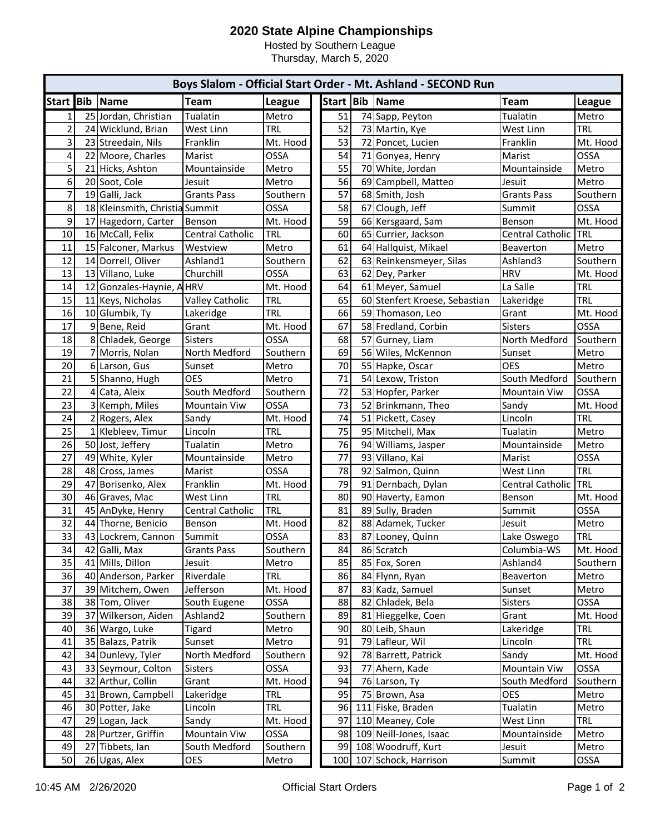## **2020 State Alpine Championships**

Hosted by Southern League

Thursday, March 5, 2020

| Boys Slalom - Official Start Order - Mt. Ashland - SECOND Run |                 |                                |                         |            |  |           |     |                            |                    |             |
|---------------------------------------------------------------|-----------------|--------------------------------|-------------------------|------------|--|-----------|-----|----------------------------|--------------------|-------------|
| Start Bib                                                     |                 | Name                           | <b>Team</b>             | League     |  | Start Bib |     | Name                       | Team               | League      |
| $\mathbf{1}$                                                  |                 | 25 Jordan, Christian           | Tualatin                | Metro      |  | 51        |     | 74 Sapp, Peyton            | Tualatin           | Metro       |
| $\overline{c}$                                                |                 | 24 Wicklund, Brian             | West Linn               | <b>TRL</b> |  | 52        |     | 73 Martin, Kye             | West Linn          | <b>TRL</b>  |
| 3                                                             |                 | 23 Streedain, Nils             | Franklin                | Mt. Hood   |  | 53        | 72  | Poncet, Lucien             | Franklin           | Mt. Hood    |
| 4                                                             |                 | 22 Moore, Charles              | Marist                  | OSSA       |  | 54        |     | 71 Gonyea, Henry           | Marist             | <b>OSSA</b> |
| 5                                                             |                 | 21 Hicks, Ashton               | Mountainside            | Metro      |  | 55        |     | 70 White, Jordan           | Mountainside       | Metro       |
| 6                                                             |                 | 20 Soot, Cole                  | Jesuit                  | Metro      |  | 56        | 69  | Campbell, Matteo           | Jesuit             | Metro       |
| $\overline{7}$                                                |                 | 19 Galli, Jack                 | <b>Grants Pass</b>      | Southern   |  | 57        |     | 68 Smith, Josh             | <b>Grants Pass</b> | Southern    |
| 8                                                             |                 | 18 Kleinsmith, Christia Summit |                         | OSSA       |  | 58        | 67  | Clough, Jeff               | Summit             | OSSA        |
| 9                                                             |                 | 17 Hagedorn, Carter            | Benson                  | Mt. Hood   |  | 59        |     | 66 Kersgaard, Sam          | Benson             | Mt. Hood    |
| 10                                                            |                 | 16 McCall, Felix               | <b>Central Catholic</b> | <b>TRL</b> |  | 60        |     | 65 Currier, Jackson        | Central Catholic   | TRL         |
| 11                                                            |                 | 15 Falconer, Markus            | Westview                | Metro      |  | 61        |     | 64 Hallquist, Mikael       | Beaverton          | Metro       |
| 12                                                            |                 | 14 Dorrell, Oliver             | Ashland1                | Southern   |  | 62        |     | 63 Reinkensmeyer, Silas    | Ashland3           | Southern    |
| 13                                                            |                 | 13 Villano, Luke               | Churchill               | OSSA       |  | 63        |     | 62 Dey, Parker             | <b>HRV</b>         | Mt. Hood    |
| 14                                                            |                 | 12 Gonzales-Haynie, AHRV       |                         | Mt. Hood   |  | 64        |     | 61 Meyer, Samuel           | La Salle           | <b>TRL</b>  |
| 15                                                            |                 | 11 Keys, Nicholas              | <b>Valley Catholic</b>  | TRL        |  | 65        | 60  | Stenfert Kroese, Sebastian | Lakeridge          | <b>TRL</b>  |
| 16                                                            |                 | 10 Glumbik, Ty                 | Lakeridge               | TRL        |  | 66        |     | 59 Thomason, Leo           | Grant              | Mt. Hood    |
| 17                                                            |                 | 9 Bene, Reid                   | Grant                   | Mt. Hood   |  | 67        |     | 58 Fredland, Corbin        | <b>Sisters</b>     | <b>OSSA</b> |
| 18                                                            |                 | 8 Chladek, George              | Sisters                 | OSSA       |  | 68        | 57  | Gurney, Liam               | North Medford      | Southern    |
| 19                                                            |                 | 7 Morris, Nolan                | North Medford           | Southern   |  | 69        |     | 56 Wiles, McKennon         | Sunset             | Metro       |
| 20                                                            |                 | 6 Larson, Gus                  | Sunset                  | Metro      |  | 70        |     | 55 Hapke, Oscar            | <b>OES</b>         | Metro       |
| 21                                                            |                 | 5 Shanno, Hugh                 | <b>OES</b>              | Metro      |  | 71        |     | 54 Lexow, Triston          | South Medford      | Southern    |
| 22                                                            | $\vert 4 \vert$ | Cata, Aleix                    | South Medford           | Southern   |  | 72        |     | 53 Hopfer, Parker          | Mountain Viw       | <b>OSSA</b> |
| 23                                                            |                 | 3 Kemph, Miles                 | <b>Mountain Viw</b>     | OSSA       |  | 73        |     | 52 Brinkmann, Theo         | Sandy              | Mt. Hood    |
| 24                                                            |                 | 2 Rogers, Alex                 | Sandy                   | Mt. Hood   |  | 74        |     | 51 Pickett, Casey          | Lincoln            | <b>TRL</b>  |
| 25                                                            |                 | 1 Klebleev, Timur              | Lincoln                 | <b>TRL</b> |  | 75        |     | 95 Mitchell, Max           | Tualatin           | Metro       |
| 26                                                            |                 | 50 Jost, Jeffery               | Tualatin                | Metro      |  | 76        |     | 94 Williams, Jasper        | Mountainside       | Metro       |
| 27                                                            |                 | 49 White, Kyler                | Mountainside            | Metro      |  | 77        |     | 93 Villano, Kai            | Marist             | OSSA        |
| 28                                                            |                 | 48 Cross, James                | Marist                  | OSSA       |  | 78        |     | 92 Salmon, Quinn           | West Linn          | <b>TRL</b>  |
| 29                                                            |                 | 47 Borisenko, Alex             | Franklin                | Mt. Hood   |  | 79        |     | 91 Dernbach, Dylan         | Central Catholic   | <b>TRL</b>  |
| 30                                                            |                 | 46 Graves, Mac                 | West Linn               | TRL        |  | 80        |     | 90 Haverty, Eamon          | Benson             | Mt. Hood    |
| 31                                                            |                 | 45 AnDyke, Henry               | Central Catholic        | <b>TRL</b> |  | 81        |     | 89 Sully, Braden           | Summit             | <b>OSSA</b> |
| 32                                                            |                 | 44 Thorne, Benicio             | Benson                  | Mt. Hood   |  | 82        | 88  | Adamek, Tucker             | Jesuit             | Metro       |
| 33                                                            |                 | 43 Lockrem, Cannon             | Summit                  | OSSA       |  | 83        | 87  | Looney, Quinn              | Lake Oswego        | <b>TRL</b>  |
| 34                                                            |                 | 42 Galli, Max                  | Grants Pass             | Southern   |  | 84        |     | 86 Scratch                 | Columbia-WS        | Mt. Hood    |
| 35                                                            |                 | 41 Mills, Dillon               | Jesuit                  | Metro      |  | 85        |     | 85 Fox, Soren              | Ashland4           | Southern    |
| 36                                                            |                 | 40 Anderson, Parker            | Riverdale               | <b>TRL</b> |  | 86        | 84  | Flynn, Ryan                | Beaverton          | Metro       |
| 37                                                            |                 | 39 Mitchem, Owen               | Jefferson               | Mt. Hood   |  | 87        | 83  | Kadz, Samuel               | Sunset             | Metro       |
| 38                                                            |                 | 38 Tom, Oliver                 | South Eugene            | OSSA       |  | 88        | 82  | Chladek, Bela              | <b>Sisters</b>     | <b>OSSA</b> |
| 39                                                            |                 | 37 Wilkerson, Aiden            | Ashland <sub>2</sub>    | Southern   |  | 89        | 81  | Hieggelke, Coen            | Grant              | Mt. Hood    |
| 40                                                            |                 | 36 Wargo, Luke                 | Tigard                  | Metro      |  | 90        |     | 80 Leib, Shaun             | Lakeridge          | <b>TRL</b>  |
| 41                                                            |                 | 35 Balazs, Patrik              | Sunset                  | Metro      |  | 91        | 79  | Lafleur, Wil               | Lincoln            | <b>TRL</b>  |
| 42                                                            |                 | 34 Dunlevy, Tyler              | North Medford           | Southern   |  | 92        |     | 78 Barrett, Patrick        | Sandy              | Mt. Hood    |
| 43                                                            |                 | 33 Seymour, Colton             | Sisters                 | OSSA       |  | 93        | 77  | Ahern, Kade                | Mountain Viw       | OSSA        |
| 44                                                            |                 | 32 Arthur, Collin              | Grant                   | Mt. Hood   |  | 94        |     | 76 Larson, Ty              | South Medford      | Southern    |
| 45                                                            |                 | 31 Brown, Campbell             | Lakeridge               | <b>TRL</b> |  | 95        |     | 75 Brown, Asa              | <b>OES</b>         | Metro       |
| 46                                                            |                 | 30 Potter, Jake                | Lincoln                 | TRL        |  | 96        |     | 111 Fiske, Braden          | Tualatin           | Metro       |
| 47                                                            |                 | 29 Logan, Jack                 | Sandy                   | Mt. Hood   |  | 97        |     | 110 Meaney, Cole           | West Linn          | <b>TRL</b>  |
| 48                                                            |                 | 28 Purtzer, Griffin            | Mountain Viw            | OSSA       |  | 98        | 109 | Neill-Jones, Isaac         | Mountainside       | Metro       |
| 49                                                            | 27              | Tibbets, Ian                   | South Medford           | Southern   |  | 99        |     | 108 Woodruff, Kurt         | Jesuit             | Metro       |
| 50                                                            |                 | 26 Ugas, Alex                  | OES                     | Metro      |  | 100       |     | 107 Schock, Harrison       | Summit             | OSSA        |